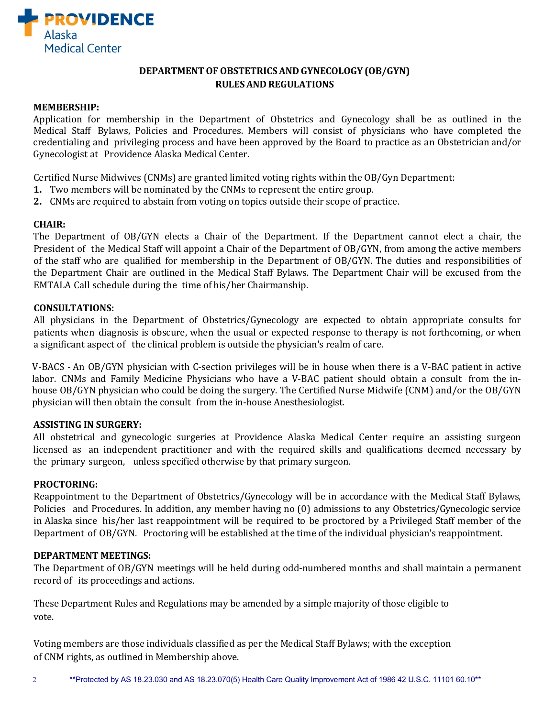

## **DEPARTMENTOFOBSTETRICSAND GYNECOLOGY (OB/GYN) RULESAND REGULATIONS**

## **MEMBERSHIP:**

Application for membership in the Department of Obstetrics and Gynecology shall be as outlined in the Medical Staff Bylaws, Policies and Procedures. Members will consist of physicians who have completed the credentialing and privileging process and have been approved by the Board to practice as an Obstetrician and/or Gynecologist at Providence Alaska Medical Center.

Certified Nurse Midwives (CNMs) are granted limited voting rights within the OB/Gyn Department:

- **1.** Two members will be nominated by the CNMs to represent the entire group.
- **2.** CNMs are required to abstain from voting on topics outside their scope of practice.

## **CHAIR:**

The Department of OB/GYN elects a Chair of the Department. If the Department cannot elect a chair, the President of the Medical Staff will appoint a Chair of the Department of OB/GYN, from among the active members of the staff who are qualified for membership in the Department of OB/GYN. The duties and responsibilities of the Department Chair are outlined in the Medical Staff Bylaws. The Department Chair will be excused from the EMTALA Call schedule during the time of his/her Chairmanship.

## **CONSULTATIONS:**

All physicians in the Department of Obstetrics/Gynecology are expected to obtain appropriate consults for patients when diagnosis is obscure, when the usual or expected response to therapy is not forthcoming, or when a significant aspect of the clinical problem is outside the physician's realm of care.

V-BACS *-* An OB/GYN physician with C-section privileges will be in house when there is a V-BAC patient in active labor. CNMs and Family Medicine Physicians who have a V-BAC patient should obtain a consult from the inhouse OB/GYN physician who could be doing the surgery. The Certified Nurse Midwife (CNM) and/or the OB/GYN physician will then obtain the consult from the in-house Anesthesiologist.

## **ASSISTING IN SURGERY:**

All obstetrical and gynecologic surgeries at Providence Alaska Medical Center require an assisting surgeon licensed as an independent practitioner and with the required skills and qualifications deemed necessary by the primary surgeon, unless specified otherwise by that primary surgeon.

## **PROCTORING:**

Reappointment to the Department of Obstetrics/Gynecology will be in accordance with the Medical Staff Bylaws, Policies and Procedures. In addition, any member having no (0) admissions to any Obstetrics/Gynecologic service in Alaska since his/her last reappointment will be required to be proctored by a Privileged Staff member of the Department of OB/GYN. Proctoring will be established at the time of the individual physician's reappointment.

## **DEPARTMENT MEETINGS:**

The Department of OB/GYN meetings will be held during odd-numbered months and shall maintain a permanent record of its proceedings and actions.

These Department Rules and Regulations may be amended by a simple majority of those eligible to vote.

Voting members are those individuals classified as per the Medical Staff Bylaws; with the exception of CNM rights, as outlined in Membership above.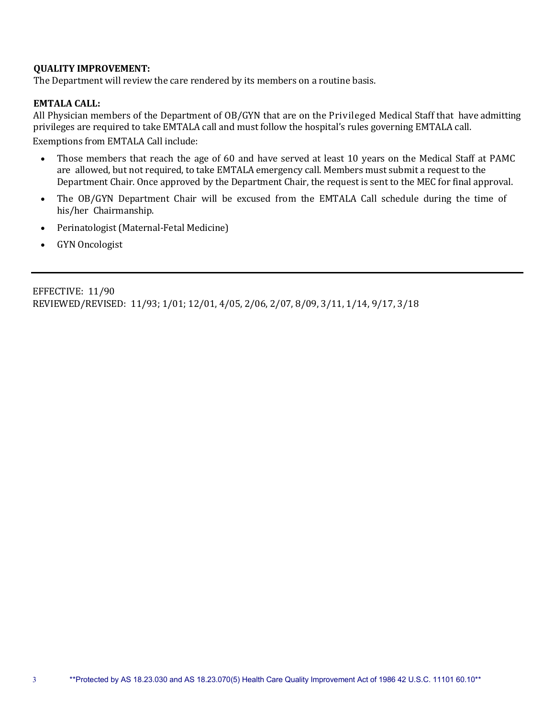## **QUALITY IMPROVEMENT:**

The Department will review the care rendered by its members on a routine basis.

## **EMTALA CALL:**

All Physician members of the Department of OB/GYN that are on the Privileged Medical Staff that have admitting privileges are required to take EMTALA call and must follow the hospital's rules governing EMTALA call. Exemptions from EMTALA Call include:

- Those members that reach the age of 60 and have served at least 10 years on the Medical Staff at PAMC are allowed, but not required, to take EMTALA emergency call. Members must submit a request to the Department Chair. Once approved by the Department Chair, the request is sent to the MEC for final approval.
- The OB/GYN Department Chair will be excused from the EMTALA Call schedule during the time of his/her Chairmanship.
- Perinatologist (Maternal-Fetal Medicine)
- GYN Oncologist

EFFECTIVE: 11/90 REVIEWED/REVISED: 11/93; 1/01; 12/01, 4/05, 2/06, 2/07, 8/09, 3/11, 1/14, 9/17, 3/18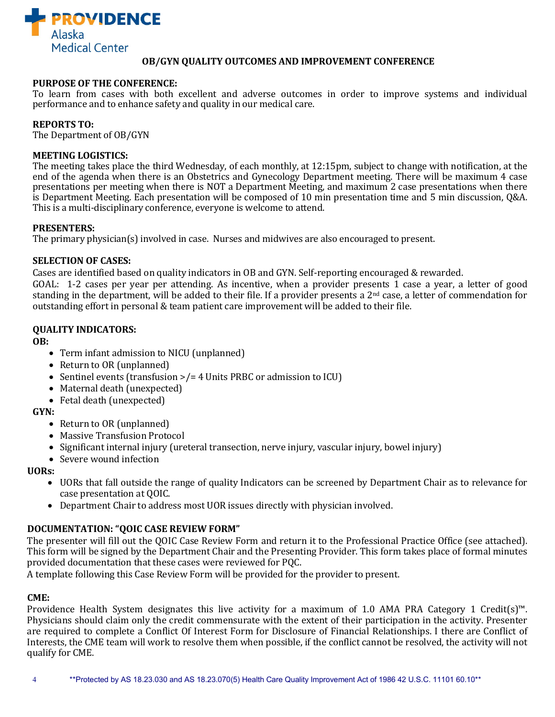

## **OB/GYN QUALITY OUTCOMES AND IMPROVEMENT CONFERENCE**

### **PURPOSE OF THE CONFERENCE:**

To learn from cases with both excellent and adverse outcomes in order to improve systems and individual performance and to enhance safety and quality in our medical care.

## **REPORTS TO:**

The Department of OB/GYN

#### **MEETING LOGISTICS:**

The meeting takes place the third Wednesday, of each monthly, at 12:15pm, subject to change with notification, at the end of the agenda when there is an Obstetrics and Gynecology Department meeting. There will be maximum 4 case presentations per meeting when there is NOT a Department Meeting, and maximum 2 case presentations when there is Department Meeting. Each presentation will be composed of 10 min presentation time and 5 min discussion, Q&A. This is a multi-disciplinary conference, everyone is welcome to attend.

#### **PRESENTERS:**

The primary physician(s) involved in case. Nurses and midwives are also encouraged to present.

#### **SELECTION OF CASES:**

Cases are identified based on quality indicators in OB and GYN. Self-reporting encouraged & rewarded.

GOAL: 1-2 cases per year per attending. As incentive, when a provider presents 1 case a year, a letter of good standing in the department, will be added to their file. If a provider presents a  $2<sup>nd</sup>$  case, a letter of commendation for outstanding effort in personal & team patient care improvement will be added to their file.

## **QUALITY INDICATORS:**

**OB:**

- Term infant admission to NICU (unplanned)
- Return to OR (unplanned)
- Sentinel events (transfusion >/= 4 Units PRBC or admission to ICU)
- Maternal death (unexpected)
- Fetal death (unexpected)

## **GYN:**

- Return to OR (unplanned)
- Massive Transfusion Protocol
- Significant internal injury (ureteral transection, nerve injury, vascular injury, bowel injury)
- Severe wound infection

**UORs:**

- UORs that fall outside the range of quality Indicators can be screened by Department Chair as to relevance for case presentation at QOIC.
- Department Chair to address most UOR issues directly with physician involved.

## **DOCUMENTATION: "QOIC CASE REVIEW FORM"**

The presenter will fill out the QOIC Case Review Form and return it to the Professional Practice Office (see attached). This form will be signed by the Department Chair and the Presenting Provider. This form takes place of formal minutes provided documentation that these cases were reviewed for PQC.

A template following this Case Review Form will be provided for the provider to present.

## **CME:**

Providence Health System designates this live activity for a maximum of 1.0 AMA PRA Category 1 Credit(s)™. Physicians should claim only the credit commensurate with the extent of their participation in the activity. Presenter are required to complete a Conflict Of Interest Form for Disclosure of Financial Relationships. I there are Conflict of Interests, the CME team will work to resolve them when possible, if the conflict cannot be resolved, the activity will not qualify for CME.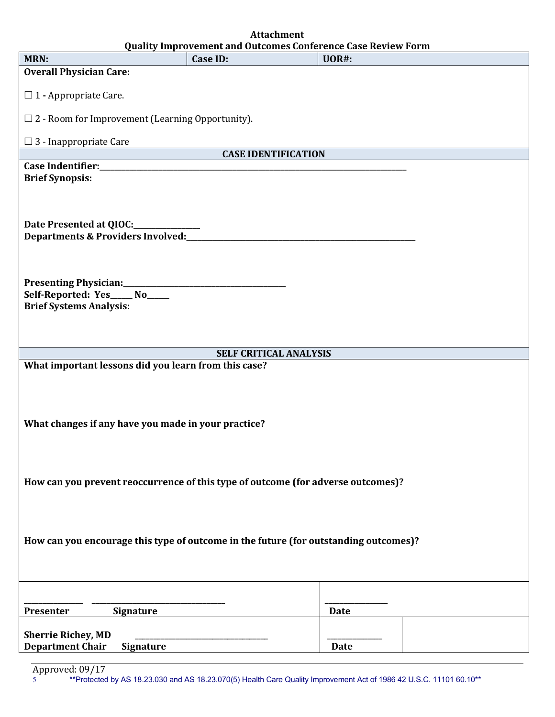| <b>Quality Improvement and Outcomes Conference Case Review Form</b>                  |          |              |
|--------------------------------------------------------------------------------------|----------|--------------|
| MRN:                                                                                 | Case ID: | <b>UOR#:</b> |
| <b>Overall Physician Care:</b>                                                       |          |              |
| $\Box$ 1 - Appropriate Care.                                                         |          |              |
| $\Box$ 2 - Room for Improvement (Learning Opportunity).                              |          |              |
| $\Box$ 3 - Inappropriate Care                                                        |          |              |
| <b>CASE IDENTIFICATION</b>                                                           |          |              |
| <b>Brief Synopsis:</b>                                                               |          |              |
|                                                                                      |          |              |
|                                                                                      |          |              |
|                                                                                      |          |              |
|                                                                                      |          |              |
|                                                                                      |          |              |
|                                                                                      |          |              |
|                                                                                      |          |              |
|                                                                                      |          |              |
|                                                                                      |          |              |
| Self-Reported: Yes____ No____<br><b>Brief Systems Analysis:</b>                      |          |              |
|                                                                                      |          |              |
|                                                                                      |          |              |
|                                                                                      |          |              |
| SELF CRITICAL ANALYSIS                                                               |          |              |
| What important lessons did you learn from this case?                                 |          |              |
|                                                                                      |          |              |
|                                                                                      |          |              |
|                                                                                      |          |              |
|                                                                                      |          |              |
| What changes if any have you made in your practice?                                  |          |              |
|                                                                                      |          |              |
|                                                                                      |          |              |
|                                                                                      |          |              |
| How can you prevent reoccurrence of this type of outcome (for adverse outcomes)?     |          |              |
|                                                                                      |          |              |
|                                                                                      |          |              |
|                                                                                      |          |              |
|                                                                                      |          |              |
| How can you encourage this type of outcome in the future (for outstanding outcomes)? |          |              |
|                                                                                      |          |              |
|                                                                                      |          |              |
|                                                                                      |          |              |
|                                                                                      |          |              |
| Presenter<br><b>Signature</b>                                                        |          | <b>Date</b>  |
|                                                                                      |          |              |
| <b>Sherrie Richey, MD</b>                                                            |          |              |
| <b>Department Chair</b><br><b>Signature</b>                                          |          | <b>Date</b>  |

**Attachment**

5 \*\*Protected by AS 18.23.030 and AS 18.23.070(5) Health Care Quality Improvement Act of 1986 42 U.S.C. 11101 60.10\*\* Approved: 09/17